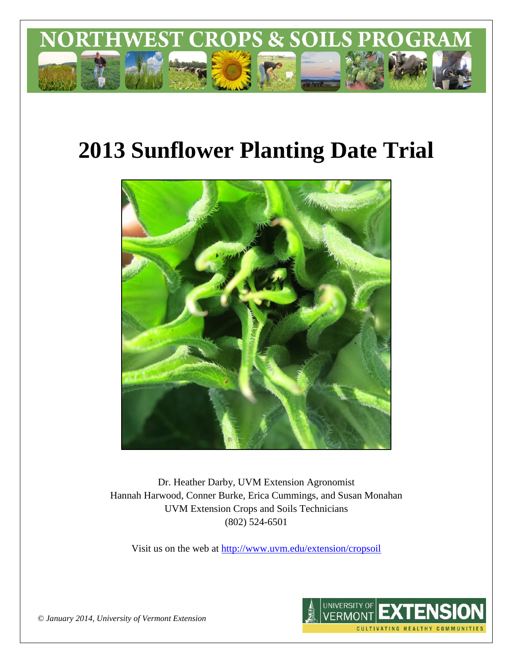

# **2013 Sunflower Planting Date Trial**



Dr. Heather Darby, UVM Extension Agronomist Hannah Harwood, Conner Burke, Erica Cummings, and Susan Monahan UVM Extension Crops and Soils Technicians (802) 524-6501

Visit us on the web at <http://www.uvm.edu/extension/cropsoil>



*© January 2014, University of Vermont Extension*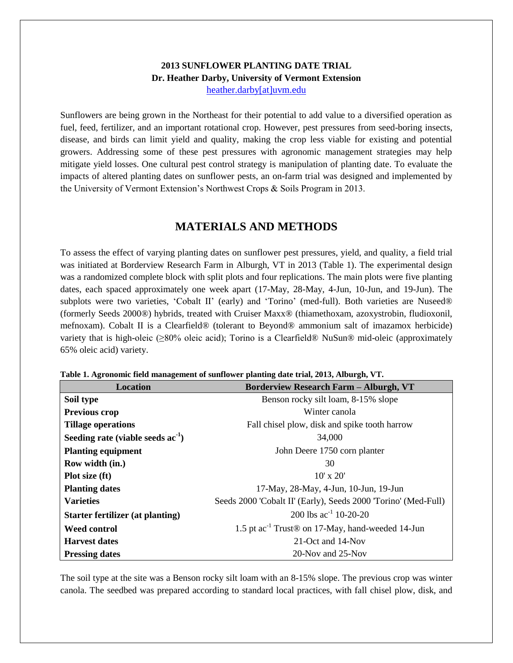## **2013 SUNFLOWER PLANTING DATE TRIAL Dr. Heather Darby, University of Vermont Extension** [heather.darby\[at\]uvm.edu](mailto:heather.darby@uvm.edu?subject=2013%20Sunflower%20Planting%20Date%20Trial)

Sunflowers are being grown in the Northeast for their potential to add value to a diversified operation as fuel, feed, fertilizer, and an important rotational crop. However, pest pressures from seed-boring insects, disease, and birds can limit yield and quality, making the crop less viable for existing and potential growers. Addressing some of these pest pressures with agronomic management strategies may help mitigate yield losses. One cultural pest control strategy is manipulation of planting date. To evaluate the impacts of altered planting dates on sunflower pests, an on-farm trial was designed and implemented by the University of Vermont Extension's Northwest Crops & Soils Program in 2013.

# **MATERIALS AND METHODS**

To assess the effect of varying planting dates on sunflower pest pressures, yield, and quality, a field trial was initiated at Borderview Research Farm in Alburgh, VT in 2013 (Table 1). The experimental design was a randomized complete block with split plots and four replications. The main plots were five planting dates, each spaced approximately one week apart (17-May, 28-May, 4-Jun, 10-Jun, and 19-Jun). The subplots were two varieties, 'Cobalt II' (early) and 'Torino' (med-full). Both varieties are Nuseed® (formerly Seeds 2000®) hybrids, treated with Cruiser Maxx® (thiamethoxam, azoxystrobin, fludioxonil, mefnoxam). Cobalt II is a Clearfield® (tolerant to Beyond® ammonium salt of imazamox herbicide) variety that is high-oleic (≥80% oleic acid); Torino is a Clearfield® NuSun® mid-oleic (approximately 65% oleic acid) variety.

| Location                                | <b>Borderview Research Farm - Alburgh, VT</b>                            |
|-----------------------------------------|--------------------------------------------------------------------------|
| Soil type                               | Benson rocky silt loam, 8-15% slope                                      |
| <b>Previous crop</b>                    | Winter canola                                                            |
| <b>Tillage operations</b>               | Fall chisel plow, disk and spike tooth harrow                            |
| Seeding rate (viable seeds $ac-1$ )     | 34,000                                                                   |
| <b>Planting equipment</b>               | John Deere 1750 corn planter                                             |
| Row width (in.)                         | 30                                                                       |
| Plot size (ft)                          | $10' \times 20'$                                                         |
| <b>Planting dates</b>                   | 17-May, 28-May, 4-Jun, 10-Jun, 19-Jun                                    |
| <b>Varieties</b>                        | Seeds 2000 'Cobalt II' (Early), Seeds 2000 'Torino' (Med-Full)           |
| <b>Starter fertilizer (at planting)</b> | 200 lbs $ac^{-1}$ 10-20-20                                               |
| <b>Weed control</b>                     | 1.5 pt ac <sup>-1</sup> Trust <sup>®</sup> on 17-May, hand-weeded 14-Jun |
| <b>Harvest dates</b>                    | 21-Oct and 14-Nov                                                        |
| <b>Pressing dates</b>                   | 20-Nov and 25-Nov                                                        |

**Table 1. Agronomic field management of sunflower planting date trial, 2013, Alburgh, VT.**

The soil type at the site was a Benson rocky silt loam with an 8-15% slope. The previous crop was winter canola. The seedbed was prepared according to standard local practices, with fall chisel plow, disk, and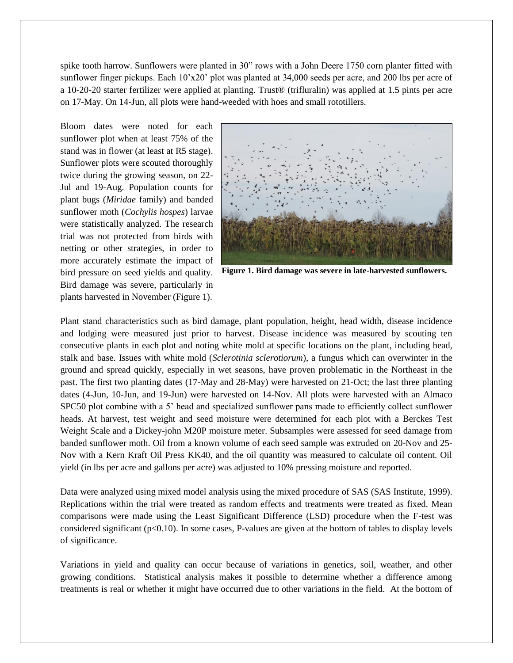spike tooth harrow. Sunflowers were planted in 30" rows with a John Deere 1750 corn planter fitted with sunflower finger pickups. Each 10'x20' plot was planted at 34,000 seeds per acre, and 200 lbs per acre of a 10-20-20 starter fertilizer were applied at planting. Trust® (trifluralin) was applied at 1.5 pints per acre on 17-May. On 14-Jun, all plots were hand-weeded with hoes and small rototillers.

Bloom dates were noted for each sunflower plot when at least 75% of the stand was in flower (at least at R5 stage). Sunflower plots were scouted thoroughly twice during the growing season, on 22- Jul and 19-Aug. Population counts for plant bugs (*Miridae* family) and banded sunflower moth (*Cochylis hospes*) larvae were statistically analyzed. The research trial was not protected from birds with netting or other strategies, in order to more accurately estimate the impact of bird pressure on seed yields and quality. Bird damage was severe, particularly in plants harvested in November (Figure 1).



**Figure 1. Bird damage was severe in late-harvested sunflowers.**

Plant stand characteristics such as bird damage, plant population, height, head width, disease incidence and lodging were measured just prior to harvest. Disease incidence was measured by scouting ten consecutive plants in each plot and noting white mold at specific locations on the plant, including head, stalk and base. Issues with white mold (*Sclerotinia sclerotiorum*), a fungus which can overwinter in the ground and spread quickly, especially in wet seasons, have proven problematic in the Northeast in the past. The first two planting dates (17-May and 28-May) were harvested on 21-Oct; the last three planting dates (4-Jun, 10-Jun, and 19-Jun) were harvested on 14-Nov. All plots were harvested with an Almaco SPC50 plot combine with a 5' head and specialized sunflower pans made to efficiently collect sunflower heads. At harvest, test weight and seed moisture were determined for each plot with a Berckes Test Weight Scale and a Dickey-john M20P moisture meter. Subsamples were assessed for seed damage from banded sunflower moth. Oil from a known volume of each seed sample was extruded on 20-Nov and 25- Nov with a Kern Kraft Oil Press KK40, and the oil quantity was measured to calculate oil content. Oil yield (in lbs per acre and gallons per acre) was adjusted to 10% pressing moisture and reported.

Data were analyzed using mixed model analysis using the mixed procedure of SAS (SAS Institute, 1999). Replications within the trial were treated as random effects and treatments were treated as fixed. Mean comparisons were made using the Least Significant Difference (LSD) procedure when the F-test was considered significant (p<0.10). In some cases, P-values are given at the bottom of tables to display levels of significance.

Variations in yield and quality can occur because of variations in genetics, soil, weather, and other growing conditions. Statistical analysis makes it possible to determine whether a difference among treatments is real or whether it might have occurred due to other variations in the field. At the bottom of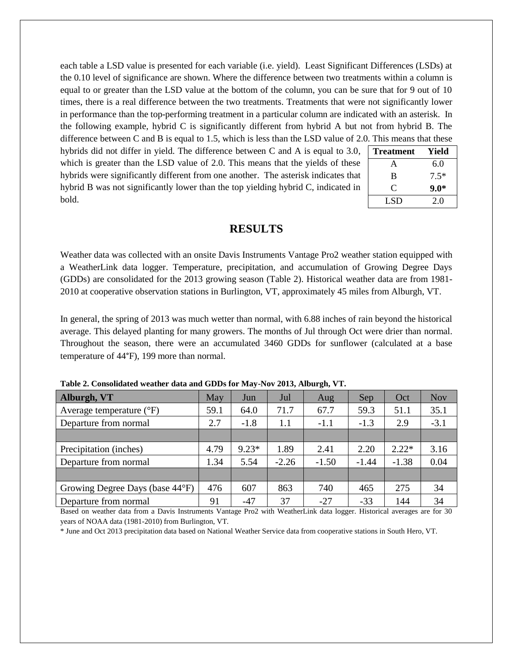each table a LSD value is presented for each variable (i.e. yield). Least Significant Differences (LSDs) at the 0.10 level of significance are shown. Where the difference between two treatments within a column is equal to or greater than the LSD value at the bottom of the column, you can be sure that for 9 out of 10 times, there is a real difference between the two treatments. Treatments that were not significantly lower in performance than the top-performing treatment in a particular column are indicated with an asterisk. In the following example, hybrid C is significantly different from hybrid A but not from hybrid B. The difference between C and B is equal to 1.5, which is less than the LSD value of 2.0. This means that these

hybrids did not differ in yield. The difference between C and A is equal to 3.0, which is greater than the LSD value of 2.0. This means that the yields of these hybrids were significantly different from one another. The asterisk indicates that hybrid B was not significantly lower than the top yielding hybrid C, indicated in bold.

| <b>Treatment</b> | Yield  |
|------------------|--------|
| A                | 6.0    |
| B                | $7.5*$ |
| C                | $9.0*$ |
| LSD              | 2.0    |

### **RESULTS**

Weather data was collected with an onsite Davis Instruments Vantage Pro2 weather station equipped with a WeatherLink data logger. Temperature, precipitation, and accumulation of Growing Degree Days (GDDs) are consolidated for the 2013 growing season (Table 2). Historical weather data are from 1981- 2010 at cooperative observation stations in Burlington, VT, approximately 45 miles from Alburgh, VT.

In general, the spring of 2013 was much wetter than normal, with 6.88 inches of rain beyond the historical average. This delayed planting for many growers. The months of Jul through Oct were drier than normal. Throughout the season, there were an accumulated 3460 GDDs for sunflower (calculated at a base temperature of 44°F), 199 more than normal.

| Alburgh, VT                         | May  | Jun     | Jul     | Aug     | Sep     | Oct     | <b>Nov</b> |
|-------------------------------------|------|---------|---------|---------|---------|---------|------------|
| Average temperature $({}^{\circ}F)$ | 59.1 | 64.0    | 71.7    | 67.7    | 59.3    | 51.1    | 35.1       |
| Departure from normal               | 2.7  | $-1.8$  | 1.1     | $-1.1$  | $-1.3$  | 2.9     | $-3.1$     |
|                                     |      |         |         |         |         |         |            |
| Precipitation (inches)              | 4.79 | $9.23*$ | 1.89    | 2.41    | 2.20    | $2.22*$ | 3.16       |
| Departure from normal               | 1.34 | 5.54    | $-2.26$ | $-1.50$ | $-1.44$ | $-1.38$ | 0.04       |
|                                     |      |         |         |         |         |         |            |
| Growing Degree Days (base 44°F)     | 476  | 607     | 863     | 740     | 465     | 275     | 34         |
| Departure from normal               | 91   | $-47$   | 37      | $-27$   | $-33$   | 144     | 34         |

**Table 2. Consolidated weather data and GDDs for May-Nov 2013, Alburgh, VT.**

Based on weather data from a Davis Instruments Vantage Pro2 with WeatherLink data logger. Historical averages are for 30 years of NOAA data (1981-2010) from Burlington, VT.

\* June and Oct 2013 precipitation data based on National Weather Service data from cooperative stations in South Hero, VT.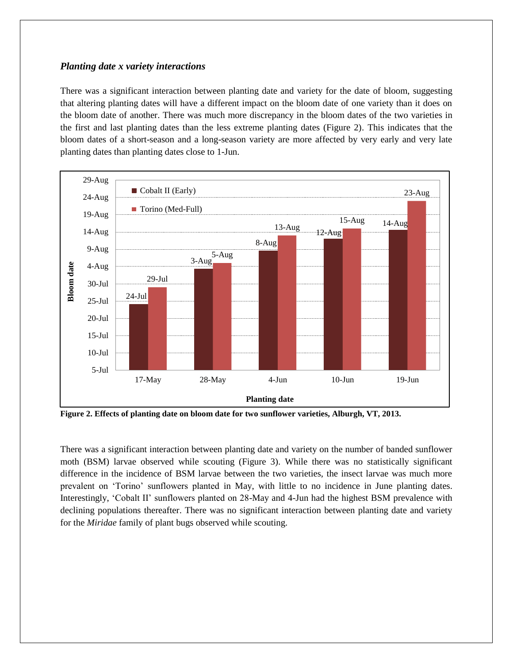### *Planting date x variety interactions*

There was a significant interaction between planting date and variety for the date of bloom, suggesting that altering planting dates will have a different impact on the bloom date of one variety than it does on the bloom date of another. There was much more discrepancy in the bloom dates of the two varieties in the first and last planting dates than the less extreme planting dates (Figure 2). This indicates that the bloom dates of a short-season and a long-season variety are more affected by very early and very late planting dates than planting dates close to 1-Jun.



**Figure 2. Effects of planting date on bloom date for two sunflower varieties, Alburgh, VT, 2013.**

There was a significant interaction between planting date and variety on the number of banded sunflower moth (BSM) larvae observed while scouting (Figure 3). While there was no statistically significant difference in the incidence of BSM larvae between the two varieties, the insect larvae was much more prevalent on 'Torino' sunflowers planted in May, with little to no incidence in June planting dates. Interestingly, 'Cobalt II' sunflowers planted on 28-May and 4-Jun had the highest BSM prevalence with declining populations thereafter. There was no significant interaction between planting date and variety for the *Miridae* family of plant bugs observed while scouting.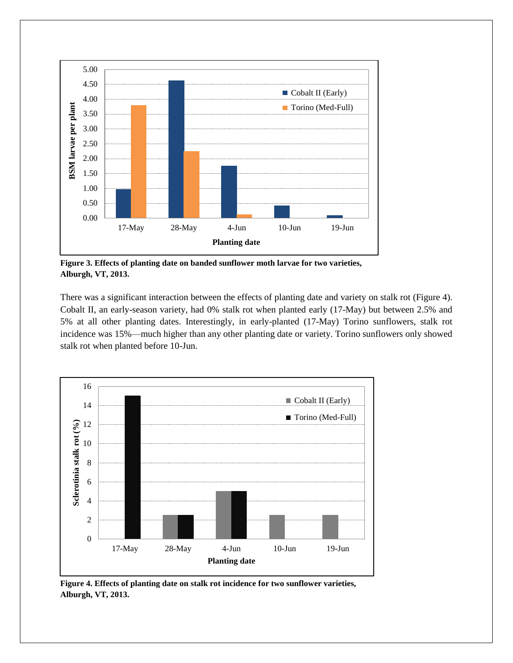

**Figure 3. Effects of planting date on banded sunflower moth larvae for two varieties, Alburgh, VT, 2013.**

There was a significant interaction between the effects of planting date and variety on stalk rot (Figure 4). Cobalt II, an early-season variety, had 0% stalk rot when planted early (17-May) but between 2.5% and 5% at all other planting dates. Interestingly, in early-planted (17-May) Torino sunflowers, stalk rot incidence was 15%—much higher than any other planting date or variety. Torino sunflowers only showed stalk rot when planted before 10-Jun.



**Figure 4. Effects of planting date on stalk rot incidence for two sunflower varieties, Alburgh, VT, 2013.**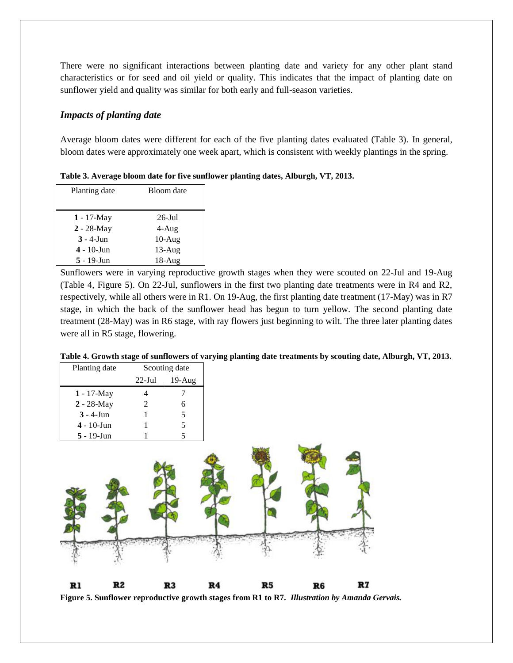There were no significant interactions between planting date and variety for any other plant stand characteristics or for seed and oil yield or quality. This indicates that the impact of planting date on sunflower yield and quality was similar for both early and full-season varieties.

### *Impacts of planting date*

Average bloom dates were different for each of the five planting dates evaluated (Table 3). In general, bloom dates were approximately one week apart, which is consistent with weekly plantings in the spring.

**Table 3. Average bloom date for five sunflower planting dates, Alburgh, VT, 2013.**

| Planting date | Bloom date |
|---------------|------------|
|               |            |
| $1 - 17$ -May | $26$ -Jul  |
| $2 - 28$ -May | 4-Aug      |
| $3 - 4$ -Jun  | $10-Aug$   |
| $4 - 10$ -Jun | $13$ -Aug  |
| $5 - 19$ -Jun | $18-Au$ g  |

Sunflowers were in varying reproductive growth stages when they were scouted on 22-Jul and 19-Aug (Table 4, Figure 5). On 22-Jul, sunflowers in the first two planting date treatments were in R4 and R2, respectively, while all others were in R1. On 19-Aug, the first planting date treatment (17-May) was in R7 stage, in which the back of the sunflower head has begun to turn yellow. The second planting date treatment (28-May) was in R6 stage, with ray flowers just beginning to wilt. The three later planting dates were all in R5 stage, flowering.

| Table 4. Growth stage of sunflowers of varying planting date treatments by scouting date, Alburgh, VT, 2013. |  |
|--------------------------------------------------------------------------------------------------------------|--|
|                                                                                                              |  |

| Planting date | Э  |                          | Scouting date |    |    |    |    |
|---------------|----|--------------------------|---------------|----|----|----|----|
|               |    | $22$ -Jul                | $19-Aug$      |    |    |    |    |
| 1 - 17-May    |    | $\overline{\mathcal{L}}$ | 7             |    |    |    |    |
| 2 - 28-May    |    | 2                        | 6             |    |    |    |    |
| $3 - 4$ -Jun  |    | 1                        | $\sqrt{5}$    |    |    |    |    |
| $4 - 10$ -Jun |    |                          | 5             |    |    |    |    |
| $5 - 19$ -Jun |    |                          | 5             |    |    |    |    |
|               |    |                          |               |    |    |    |    |
| Rl            | R2 |                          | R3            | R4 | R5 | R6 | R7 |

**Figure 5. Sunflower reproductive growth stages from R1 to R7.** *Illustration by Amanda Gervais.*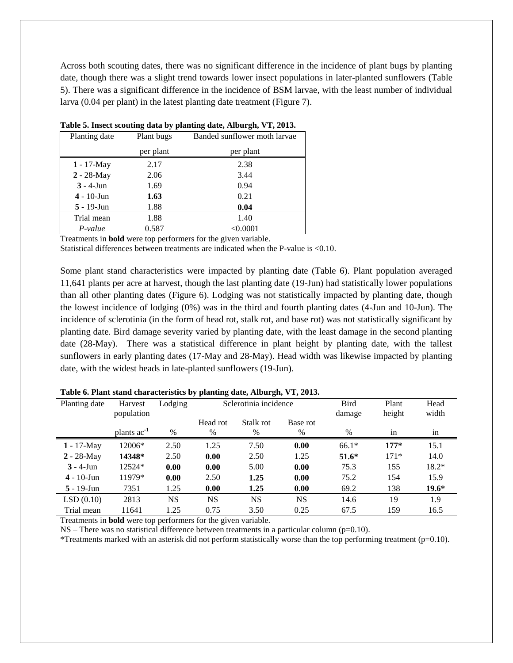Across both scouting dates, there was no significant difference in the incidence of plant bugs by planting date, though there was a slight trend towards lower insect populations in later-planted sunflowers (Table 5). There was a significant difference in the incidence of BSM larvae, with the least number of individual larva (0.04 per plant) in the latest planting date treatment (Figure 7).

| Planting date  | Plant bugs | Banded sunflower moth larvae |
|----------------|------------|------------------------------|
|                | per plant  | per plant                    |
| $1 - 17$ -May  | 2.17       | 2.38                         |
| $2 - 28 - May$ | 2.06       | 3.44                         |
| $3 - 4$ -Jun   | 1.69       | 0.94                         |
| $4 - 10$ -Jun  | 1.63       | 0.21                         |
| $5 - 19$ -Jun  | 1.88       | 0.04                         |
| Trial mean     | 1.88       | 1.40                         |
| P-value        | 0.587      | < 0.0001                     |

|  | Table 5. Insect scouting data by planting date, Alburgh, VT, 2013. |  |  |  |  |
|--|--------------------------------------------------------------------|--|--|--|--|
|  |                                                                    |  |  |  |  |

Treatments in **bold** were top performers for the given variable.

Statistical differences between treatments are indicated when the P-value is <0.10.

Some plant stand characteristics were impacted by planting date (Table 6). Plant population averaged 11,641 plants per acre at harvest, though the last planting date (19-Jun) had statistically lower populations than all other planting dates (Figure 6). Lodging was not statistically impacted by planting date, though the lowest incidence of lodging (0%) was in the third and fourth planting dates (4-Jun and 10-Jun). The incidence of sclerotinia (in the form of head rot, stalk rot, and base rot) was not statistically significant by planting date. Bird damage severity varied by planting date, with the least damage in the second planting date (28-May). There was a statistical difference in plant height by planting date, with the tallest sunflowers in early planting dates (17-May and 28-May). Head width was likewise impacted by planting date, with the widest heads in late-planted sunflowers (19-Jun).

| Planting date | Harvest<br>population | Lodging |                  | Sclerotinia incidence |                  |         | Plant<br>height | Head<br>width   |
|---------------|-----------------------|---------|------------------|-----------------------|------------------|---------|-----------------|-----------------|
|               | plants $ac^{-1}$      | $\%$    | Head rot<br>$\%$ | Stalk rot<br>$\%$     | Base rot<br>$\%$ | $\%$    | in              | $\bullet$<br>in |
|               |                       |         |                  |                       |                  |         |                 |                 |
| $1 - 17$ -May | 12006*                | 2.50    | 1.25             | 7.50                  | 0.00             | $66.1*$ | $177*$          | 15.1            |
| $2 - 28$ -May | 14348*                | 2.50    | 0.00             | 2.50                  | 1.25             | $51.6*$ | $171*$          | 14.0            |
| $3 - 4$ -Jun  | 12524*                | 0.00    | 0.00             | 5.00                  | 0.00             | 75.3    | 155             | 18.2*           |
| $4 - 10$ -Jun | 11979*                | 0.00    | 2.50             | 1.25                  | 0.00             | 75.2    | 154             | 15.9            |
| $5 - 19$ -Jun | 7351                  | 1.25    | 0.00             | 1.25                  | 0.00             | 69.2    | 138             | $19.6*$         |
| LSD(0.10)     | 2813                  | NS      | <b>NS</b>        | <b>NS</b>             | <b>NS</b>        | 14.6    | 19              | 1.9             |
| Trial mean    | 11641                 | 1.25    | 0.75             | 3.50                  | 0.25             | 67.5    | 159             | 16.5            |

**Table 6. Plant stand characteristics by planting date, Alburgh, VT, 2013.**

Treatments in **bold** were top performers for the given variable.

 $NS$  – There was no statistical difference between treatments in a particular column (p=0.10).

\*Treatments marked with an asterisk did not perform statistically worse than the top performing treatment ( $p=0.10$ ).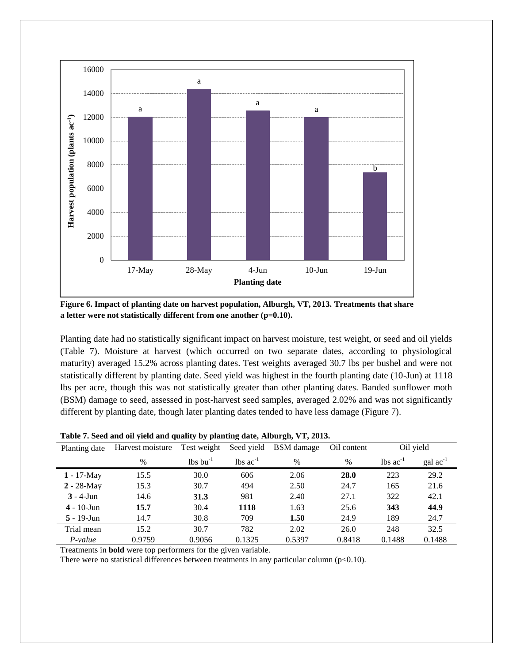

**Figure 6. Impact of planting date on harvest population, Alburgh, VT, 2013. Treatments that share a letter were not statistically different from one another (p=0.10).**

Planting date had no statistically significant impact on harvest moisture, test weight, or seed and oil yields (Table 7). Moisture at harvest (which occurred on two separate dates, according to physiological maturity) averaged 15.2% across planting dates. Test weights averaged 30.7 lbs per bushel and were not statistically different by planting date. Seed yield was highest in the fourth planting date (10-Jun) at 1118 lbs per acre, though this was not statistically greater than other planting dates. Banded sunflower moth (BSM) damage to seed, assessed in post-harvest seed samples, averaged 2.02% and was not significantly different by planting date, though later planting dates tended to have less damage (Figure 7).

| Planting date         | Harvest moisture | Test weight                        | Seed yield                    | BSM damage | Oil content |                               | Oil yield            |
|-----------------------|------------------|------------------------------------|-------------------------------|------------|-------------|-------------------------------|----------------------|
|                       | $\%$             | $\frac{1}{2}$ lbs bu <sup>-1</sup> | $\text{lbs}$ ac <sup>-1</sup> | $\%$       | $\%$        | $\text{lbs}$ ac <sup>-1</sup> | $\text{gal ac}^{-1}$ |
| $1 - 17$ -May         | 15.5             | 30.0                               | 606                           | 2.06       | <b>28.0</b> | 223                           | 29.2                 |
| $2 - 28$ -May         | 15.3             | 30.7                               | 494                           | 2.50       | 24.7        | 165                           | 21.6                 |
| $3 - 4$ -Jun          | 14.6             | 31.3                               | 981                           | 2.40       | 27.1        | 322                           | 42.1                 |
| $4 - 10 - \text{Jun}$ | 15.7             | 30.4                               | 1118                          | 1.63       | 25.6        | 343                           | 44.9                 |
| $5 - 19$ -Jun         | 14.7             | 30.8                               | 709                           | 1.50       | 24.9        | 189                           | 24.7                 |
| Trial mean            | 15.2             | 30.7                               | 782                           | 2.02       | 26.0        | 248                           | 32.5                 |
| $P-value$             | 0.9759           | 0.9056                             | 0.1325                        | 0.5397     | 0.8418      | 0.1488                        | 0.1488               |

**Table 7. Seed and oil yield and quality by planting date, Alburgh, VT, 2013.**

Treatments in **bold** were top performers for the given variable.

There were no statistical differences between treatments in any particular column ( $p<0.10$ ).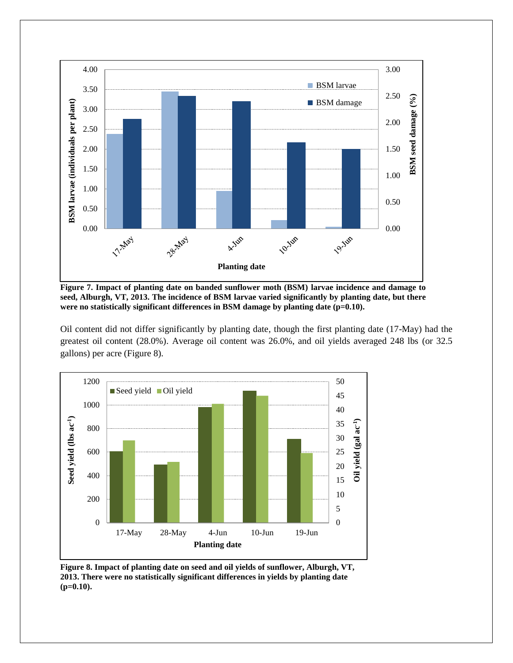

**Figure 7. Impact of planting date on banded sunflower moth (BSM) larvae incidence and damage to seed, Alburgh, VT, 2013. The incidence of BSM larvae varied significantly by planting date, but there**  were no statistically significant differences in BSM damage by planting date (p=0.10).

Oil content did not differ significantly by planting date, though the first planting date (17-May) had the greatest oil content (28.0%). Average oil content was 26.0%, and oil yields averaged 248 lbs (or 32.5 gallons) per acre (Figure 8).



**Figure 8. Impact of planting date on seed and oil yields of sunflower, Alburgh, VT, 2013. There were no statistically significant differences in yields by planting date (p=0.10).**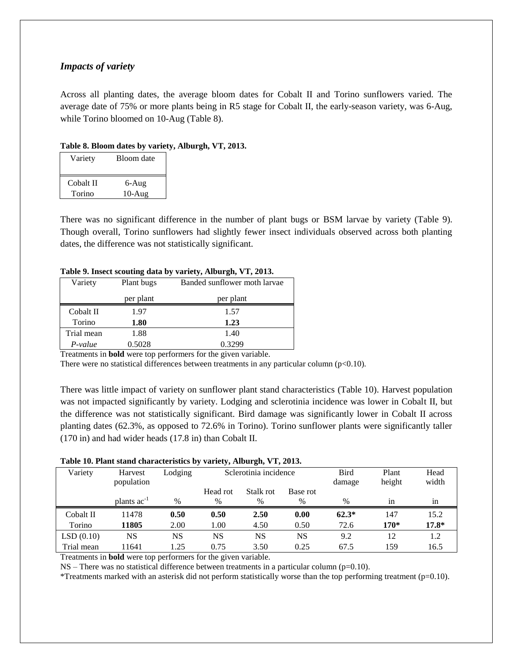### *Impacts of variety*

Across all planting dates, the average bloom dates for Cobalt II and Torino sunflowers varied. The average date of 75% or more plants being in R5 stage for Cobalt II, the early-season variety, was 6-Aug, while Torino bloomed on 10-Aug (Table 8).

#### **Table 8. Bloom dates by variety, Alburgh, VT, 2013.**

| Variety   | Bloom date |
|-----------|------------|
| Cobalt II | 6-Aug      |
| Torino    | $10-Aug$   |

There was no significant difference in the number of plant bugs or BSM larvae by variety (Table 9). Though overall, Torino sunflowers had slightly fewer insect individuals observed across both planting dates, the difference was not statistically significant.

#### **Table 9. Insect scouting data by variety, Alburgh, VT, 2013.**

| Variety    | Plant bugs | Banded sunflower moth larvae |
|------------|------------|------------------------------|
|            | per plant  | per plant                    |
| Cobalt II  | 1.97       | 1.57                         |
| Torino     | 1.80       | 1.23                         |
| Trial mean | 1.88       | 1.40                         |
| P-value    | 0.5028     | 0.3299                       |

Treatments in **bold** were top performers for the given variable.

There were no statistical differences between treatments in any particular column ( $p<0.10$ ).

There was little impact of variety on sunflower plant stand characteristics (Table 10). Harvest population was not impacted significantly by variety. Lodging and sclerotinia incidence was lower in Cobalt II, but the difference was not statistically significant. Bird damage was significantly lower in Cobalt II across planting dates (62.3%, as opposed to 72.6% in Torino). Torino sunflower plants were significantly taller (170 in) and had wider heads (17.8 in) than Cobalt II.

#### **Table 10. Plant stand characteristics by variety, Alburgh, VT, 2013.**

| Variety    | Harvest                 | Lodging | Sclerotinia incidence |           |          | <b>Bird</b> | Plant  | Head    |
|------------|-------------------------|---------|-----------------------|-----------|----------|-------------|--------|---------|
|            | population              |         |                       |           |          | damage      | height | width   |
|            |                         |         | Head rot              | Stalk rot | Base rot |             |        |         |
|            | plants ac <sup>-1</sup> | $\%$    | %                     | %         | %        | $\%$        | in     | 1n      |
| Cobalt II  | 11478                   | 0.50    | 0.50                  | 2.50      | 0.00     | $62.3*$     | 147    | 15.2    |
| Torino     | 11805                   | 2.00    | 1.00                  | 4.50      | 0.50     | 72.6        | $170*$ | $17.8*$ |
| LSD(0.10)  | NS                      | NS      | NS                    | NS        | NS       | 9.2         | 12     | 1.2     |
| Trial mean | 11641                   | 1.25    | 0.75                  | 3.50      | 0.25     | 67.5        | 159    | 16.5    |

Treatments in **bold** were top performers for the given variable.

NS – There was no statistical difference between treatments in a particular column (p=0.10).

\*Treatments marked with an asterisk did not perform statistically worse than the top performing treatment ( $p=0.10$ ).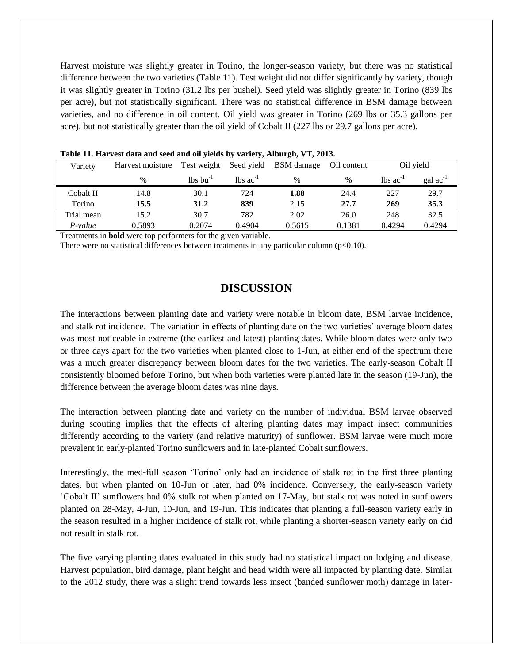Harvest moisture was slightly greater in Torino, the longer-season variety, but there was no statistical difference between the two varieties (Table 11). Test weight did not differ significantly by variety, though it was slightly greater in Torino (31.2 lbs per bushel). Seed yield was slightly greater in Torino (839 lbs per acre), but not statistically significant. There was no statistical difference in BSM damage between varieties, and no difference in oil content. Oil yield was greater in Torino (269 lbs or 35.3 gallons per acre), but not statistically greater than the oil yield of Cobalt II (227 lbs or 29.7 gallons per acre).

| Variety    | Harvest moisture | Test weight      |                          | Seed yield BSM damage | Oil content   | Oil yield                     |                      |
|------------|------------------|------------------|--------------------------|-----------------------|---------------|-------------------------------|----------------------|
|            | %                | $\ln s \ln^{-1}$ | $\ln$ s ac <sup>-1</sup> | $\%$                  | $\frac{0}{0}$ | $\text{lbs}$ ac <sup>-1</sup> | gal ac <sup>-1</sup> |
| Cobalt II  | 14.8             | 30.1             | 724                      | 1.88                  | 24.4          | 227                           | 29.7                 |
| Torino     | 15.5             | 31.2             | 839                      | 2.15                  | 27.7          | 269                           | 35.3                 |
| Trial mean | 15.2             | 30.7             | 782                      | 2.02                  | 26.0          | 248                           | 32.5                 |
| P-value    | 0.5893           | 0.2074           | 0.4904                   | 0.5615                | 0.1381        | 0.4294                        | 0.4294               |

Treatments in **bold** were top performers for the given variable.

There were no statistical differences between treatments in any particular column ( $p<0.10$ ).

## **DISCUSSION**

The interactions between planting date and variety were notable in bloom date, BSM larvae incidence, and stalk rot incidence. The variation in effects of planting date on the two varieties' average bloom dates was most noticeable in extreme (the earliest and latest) planting dates. While bloom dates were only two or three days apart for the two varieties when planted close to 1-Jun, at either end of the spectrum there was a much greater discrepancy between bloom dates for the two varieties. The early-season Cobalt II consistently bloomed before Torino, but when both varieties were planted late in the season (19-Jun), the difference between the average bloom dates was nine days.

The interaction between planting date and variety on the number of individual BSM larvae observed during scouting implies that the effects of altering planting dates may impact insect communities differently according to the variety (and relative maturity) of sunflower. BSM larvae were much more prevalent in early-planted Torino sunflowers and in late-planted Cobalt sunflowers.

Interestingly, the med-full season 'Torino' only had an incidence of stalk rot in the first three planting dates, but when planted on 10-Jun or later, had 0% incidence. Conversely, the early-season variety 'Cobalt II' sunflowers had 0% stalk rot when planted on 17-May, but stalk rot was noted in sunflowers planted on 28-May, 4-Jun, 10-Jun, and 19-Jun. This indicates that planting a full-season variety early in the season resulted in a higher incidence of stalk rot, while planting a shorter-season variety early on did not result in stalk rot.

The five varying planting dates evaluated in this study had no statistical impact on lodging and disease. Harvest population, bird damage, plant height and head width were all impacted by planting date. Similar to the 2012 study, there was a slight trend towards less insect (banded sunflower moth) damage in later